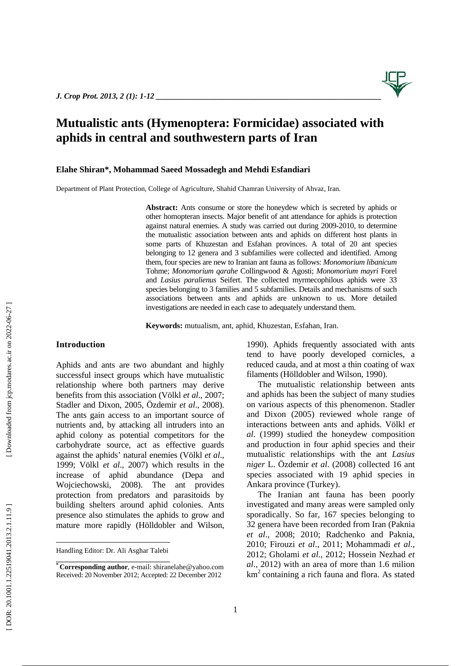

# **Mutualistic ants (Hymenoptera: Formicidae) associated with aphids in central and southwestern parts of Iran**

#### **Elahe Shiran\*, Mohammad Saeed Mossadegh and Mehdi Esfandiari**

Department of Plant Protection, College of Agriculture, Shahid Chamran University of Ahvaz, Iran.

**Abstract:** Ants consume or store the honeydew which is secreted by aphids or other homopteran insects. Major benefit of ant attendance for aphids is protection against natural enemies. A study was carried out during 2009-2010, to determine the mutualistic association between ants and aphids on different host plants in some parts of Khuzestan and Esfahan provinces. A total of 20 ant species belonging to 12 genera and 3 subfamilies were collected and identified. Among them, four species are new to Iranian ant fauna as follows: *Monomorium libanicum*  Tohme; *Monomorium qarahe* Collingwood & Agosti; *Monomorium mayri* Forel and *Lasius paralienus* Seifert. The collected myrmecophilous aphids were 33 species belonging to 3 families and 5 subfamilies. Details and mechanisms of such associations between ants and aphids are unknown to us. More detailed investigations are needed in each case to adequately understand them.

**Keywords:** mutualism, ant, aphid, Khuzestan, Esfahan, Iran.

#### **Introduction**

Aphids and ants are two abundant and highly successful insect groups which have mutualistic relationship where both partners may derive benefits from this association (Völkl *et al*., 2007; Stadler and Dixon, 2005, Özdemir *et al*., 2008). The ants gain access to an important source of nutrients and, by attacking all intruders into an aphid colony as potential competitors for the carbohydrate source, act as effective guards against the aphids' natural enemies (Völkl *et al*., 1999; Völkl *et al*., 2007) which results in the increase of aphid abundance (Depa and Wojciechowski, 2008). The ant provides protection from predators and parasitoids by building shelters around aphid colonies. Ants presence also stimulates the aphids to grow and mature more rapidly (Hölldobler and Wilson,

1990). Aphids frequently associated with ants tend to have poorly developed cornicles, a reduced cauda, and at most a thin coating of wax filaments (Hölldobler and Wilson, 1990).

The mutualistic relationship between ants and aphids has been the subject of many studies on various aspects of this phenomenon. Stadler and Dixon (2005) reviewed whole range of interactions between ants and aphids. Völkl *et al*. (1999) studied the honeydew composition and production in four aphid species and their mutualistic relationships with the ant *Lasius niger* L. Özdemir *et al*. (2008) collected 16 ant species associated with 19 aphid species in Ankara province (Turkey).

The Iranian ant fauna has been poorly investigated and many areas were sampled only sporadically. So far, 167 species belonging to 32 genera have been recorded from Iran (Paknia *et al*., 2008; 2010; Radchenko and Paknia, 2010; Firouzi *et al*., 2011; Mohammadi *et al*., 2012; Gholami *et al*., 2012; Hossein Nezhad *et al*., 2012) with an area of more than 1.6 milion km<sup>2</sup> containing a rich fauna and flora. As stated

 Handling Editor: Dr. Ali Asghar Talebi **\_\_\_\_\_\_\_\_\_\_\_\_\_\_\_\_\_\_\_\_\_\_\_\_\_\_\_\_\_\_\_\_** 

**<sup>\*</sup> Corresponding author**, e-mail: shiranelahe@yahoo.com Received: 20 November 2012; Accepted: 22 December 2012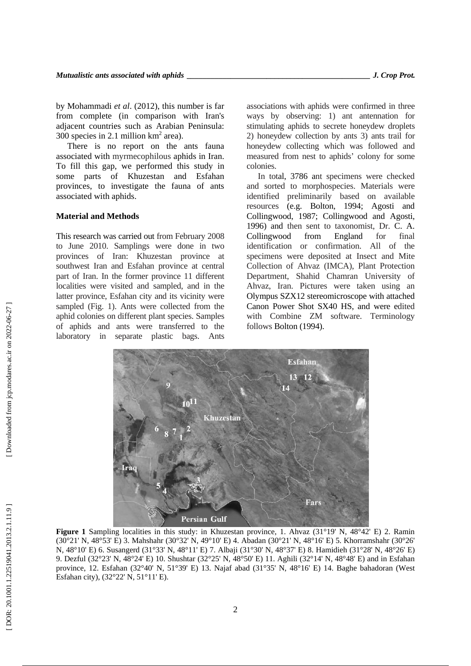by Mohammadi *et al*. (2012), this number is far from complete (in comparison with Iran's adjacent countries such as Arabian Peninsula:  $300$  species in 2.1 million km<sup>2</sup> area).

There is no report on the ants fauna associated with myrmecophilous aphids in Iran. To fill this gap, we performed this study in some parts of Khuzestan and Esfahan provinces, to investigate the fauna of ants associated with aphids.

### **Material and Methods**

This research was carried out from February 2008 to June 2010. Samplings were done in two provinces of Iran: Khuzestan province at southwest Iran and Esfahan province at central part of Iran. In the former province 11 different localities were visited and sampled, and in the latter province, Esfahan city and its vicinity were sampled (Fig. 1). Ants were collected from the aphid colonies on different plant species. Samples of aphids and ants were transferred to the laboratory in separate plastic bags. Ants associations with aphids were confirmed in three ways by observing: 1) ant antennation for stimulating aphids to secrete honeydew droplets 2) honeydew collection by ants 3) ants trail for honeydew collecting which was followed and measured from nest to aphids' colony for some colonies.

In total, 3786 ant specimens were checked and sorted to morphospecies. Materials were identified preliminarily based on available resources (e.g. Bolton, 1994; Agosti and Collingwood, 1987; Collingwood and Agosti, 1996) and then sent to taxonomist, Dr. C. A. Collingwood from England for final identification or confirmation. All of the specimens were deposited at Insect and Mite Collection of Ahvaz (IMCA), Plant Protection Department, Shahid Chamran University of Ahvaz, Iran. Pictures were taken using an Olympus SZX12 stereomicroscope with attached Canon Power Shot SX40 HS, and were edited with Combine ZM software. Terminology follows Bolton (1994).



**Figure 1** Sampling localities in this study: in Khuzestan province, 1. Ahvaz (31°19' N, 48°42' E) 2. Ramin (30°21' N, 48°53' E) 3. Mahshahr (30°32' N, 49°10' E) 4. Abadan (30°21' N, 48°16' E) 5. Khorramshahr (30°26' N, 48°10' E) 6. Susangerd (31°33' N, 48°11' E) 7. Albaji (31°30' N, 48°37' E) 8. Hamidieh (31°28' N, 48°26' E) 9. Dezful (32°23' N, 48°24' E) 10. Shushtar (32°25' N, 48°50' E) 11. Aghili (32°14' N, 48°48' E) and in Esfahan province, 12. Esfahan (32°40' N, 51°39' E) 13. Najaf abad (31°35' N, 48°16' E) 14. Baghe bahadoran (West Esfahan city), (32°22' N, 51°11' E).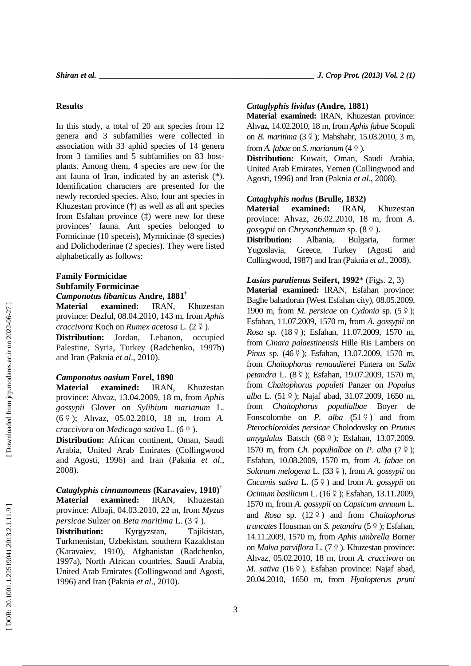### **Results**

In this study, a total of 20 ant species from 12 genera and 3 subfamilies were collected in association with 33 aphid species of 14 genera from 3 families and 5 subfamilies on 83 hostplants. Among them, 4 species are new for the ant fauna of Iran, indicated by an asterisk (\*). Identification characters are presented for the newly recorded species. Also, four ant species in Khuzestan province (†) as well as all ant species from Esfahan province  $(\ddagger)$  were new for these provinces' fauna. Ant species belonged to Formicinae (10 speceis), Myrmicinae (8 species) and Dolichoderinae (2 species). They were listed alphabetically as follows:

## **Family Formicidae Subfamily Formicinae** *Camponotus libanicus* **Andre, 1881** †

**Material examined:** IRAN, Khuzestan province: Dezful, 08.04.2010, 143 m, from *Aphis craccivora* Koch on *Rumex acetosa* L. (2 ☿).

**Distribution:** Jordan, Lebanon, occupied Palestine, Syria , Turkey (Radchenko, 1997b) and Iran (Paknia *et al*., 2010).

## *Camponotus oasium* **Forel, 1890**

**Material examined:** IRAN, Khuzestan province: Ahvaz, 13.04.2009, 18 m, from *Aphis gossypii* Glover on *Sylibium marianum* L. (6 ☿); Ahvaz, 05.02.2010, 18 m, from *A. craccivora* on *Medicago sativa* L. (6 ☿).

**Distribution:** African continent, Oman, Saudi Arabia, United Arab Emirates (Collingwood and Agosti, 1996) and Iran (Paknia *et al*., 2008).

*Cataglyphis cinnamomeus* **(Karavaiev, 1910)** † **Material examined:** IRAN, Khuzestan province: Albaji, 04.03.2010, 22 m, from *Myzus persicae* Sulzer on *Beta maritima* L. (3 ☿).

**Distribution:** Kyrgyzstan, Tajikistan, Turkmenistan, Uzbekistan, southern Kazakhstan (Karavaiev, 1910), Afghanistan (Radchenko, 1997a), North African countries, Saudi Arabia, United Arab Emirates (Collingwood and Agosti, 1996) and Iran (Paknia *et al*., 2010).

### *Cataglyphis lividus* **(Andre, 1881)**

**Material examined:** IRAN, Khuzestan province: Ahvaz, 14.02.2010, 18 m, from *Aphis fabae* Scopuli on *B. maritima* (3 ☿); Mahshahr, 15.03.2010, 3 m, from A. fabae on S. marianum  $(4 \n\leq).$ 

**Distribution:** Kuwait, Oman, Saudi Arabia, United Arab Emirates, Yemen (Collingwood and Agosti, 1996) and Iran (Paknia *et al*., 2008).

#### *Cataglyphis nodus* **(Brulle, 1832)**

**Material examined:** IRAN, Khuzestan province: Ahvaz, 26.02.2010, 18 m, from *A. gossypii* on *Chrysanthemum* sp. (8 ☿).

**Distribution:** Albania, Bulgaria, former Yugoslavia, Greece, Turkey (Agosti and Collingwood, 1987) and Iran (Paknia *et al*., 2008).

*Lasius paralienus* **Seifert, 1992**\* (Figs. 2, 3) **Material examined:** IRAN, Esfahan province: Baghe bahadoran (West Esfahan city), 08.05.2009, 1900 m, from *M. persicae* on *Cydonia* sp.  $(5 \circ)$ ; Esfahan, 11.07.2009, 1570 m, from *A. gossypii* on *Rosa* sp. (18 ☿); Esfahan, 11.07.2009, 1570 m, from *Cinara palaestinensis* Hille Ris Lambers on *Pinus sp.* (46  $\frac{3}{7}$ ); Esfahan, 13.07.2009, 1570 m, from *Chaitophorus remaudierei* Pintera on *Salix petandra* L. (8 ☿); Esfahan, 19.07.2009, 1570 m, from *Chaitophorus populeti* Panzer on *Populus*  alba L. (51 º ); Najaf abad, 31.07.2009, 1650 m, from *Chaitophorus populialbae* Boyer de Fonscolombe on *P. alba*  $(51 \n\leq)$  and from *Pterochloroides persicae* Cholodovsky on *Prunus amygdalus* Batsch (68  $\frac{6}{9}$ ); Esfahan, 13.07.2009, 1570 m, from *Ch. populialbae* on *P. alba*  $(7 \nless p)$ ; Esfahan, 10.08.2009, 1570 m, from *A. fabae* on *Solanum melogena* L. (33 ☿), from *A. gossypii* on *Cucumis sativa* L. (5 ☿) and from *A. gossypii* on *Ocimum basilicum* L. (16 ☿); Esfahan, 13.11.2009, 1570 m, from *A. gossypii* on *Capsicum annuum* L. and *Rosa* sp. (12 ☿) and from *Chaitophorus truncates* Housman on *S. petandra* (5 ☿); Esfahan, 14.11.2009, 1570 m, from *Aphis umbrella* Borner on *Malva parviflora* L. (7<sup> $\varphi$ </sup>). Khuzestan province: Ahvaz, 05.02.2010, 18 m, from *A. craccivora* on *M. sativa* (16<sup> $\circ$ </sup>). Esfahan province: Najaf abad, 20.04.2010, 1650 m, from *Hyalopterus pruni*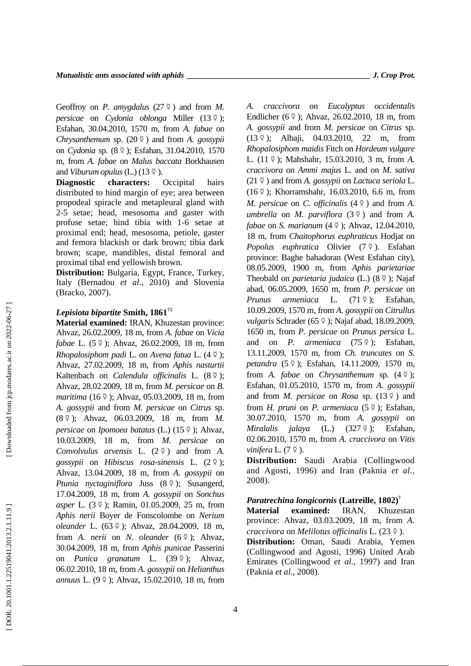Geoffroy on *P. amygdalus* (27<sup> $\varphi$ </sup>) and from *M. persicae* on *Cydonia oblonga* Miller (13 ☿); Esfahan, 30.04.2010, 1570 m, from *A. fabae* on *Chrysanthemum* sp. (20 ☿) and from *A. gossypii* on *Cydonia* sp. (8  $\frac{6}{7}$ ); Esfahan, 31.04.2010, 1570 m, from *A. fabae* on *Malus baccata* Borkhausen and *Viburum opulus* (L.)  $(13 \n\leq).$ 

**Diagnostic characters:** Occipital hairs distributed to hind margin of eye; area between propodeal spiracle and metapleural gland with 2-5 setae; head, mesosoma and gaster with profuse setae; hind tibia with 1-6 setae at proximal end; head, mesosoma, petiole, gaster and femora blackish or dark brown; tibia dark brown; scape, mandibles, distal femoral and proximal tibal end yellowish brown.

**Distribution:** Bulgaria, Egypt, France, Turkey, Italy (Bernadou *et al*., 2010) and Slovenia (Bracko, 2007).

## *Lepisiota bipartite* **Smith, 1861**†‡

**Material examined:** IRAN, Khuzestan province: Ahvaz, 26.02.2009, 18 m, from *A. fabae* on *Vicia fabae* L. (5 ☿); Ahvaz, 26.02.2009, 18 m, from *Rhopalosiphom padi* L. on *Avena fatua* L. (4 ☿); Ahvaz, 27.02.2009, 18 m, from *Aphis nasturtii* Kaltenbach on *Calendula officinalis* L. (8  $\frac{6}{7}$ ); Ahvaz, 28.02.2009, 18 m, from *M. persicae* on *B. maritima* (16 ☿); Ahvaz, 05.03.2009, 18 m, from *A. gossypii* and from *M. persicae* on *Citrus* sp. (8 ☿); Ahvaz, 06.03.2009, 18 m, from *M. persicae* on *Ipomoea batatas* (L.) (15 ☿); Ahvaz, 10.03.2009, 18 m, from *M. persicae* on *Convolvulus arvensis* L. (2 ☿) and from *A. gossypii* on *Hibiscus rosa-sinensis* L. (2 ☿); Ahvaz, 13.04.2009, 18 m, from *A. gossypii* on Ptunia nyctaginiflora Juss (8<sup> $\varphi$ </sup>); Susangerd, 17.04.2009, 18 m, from *A. gossypii* on *Sonchus*  asper L. (3<sup> $\circ$ </sup>); Ramin, 01.05.2009, 25 m, from *Aphis nerii* Boyer de Fonscolombe on *Nerium oleander* L. (63 ☿); Ahvaz, 28.04.2009, 18 m, from *A. nerii* on *N. oleander* (6<sup> $\circ$ </sup>); Ahvaz, 30.04.2009, 18 m, from *Aphis punicae* Passerini on *Punica granatum* L. (39 º ); Ahvaz, 06.02.2010, 18 m, from *A. gossypii* on *Helianthus annuus* L. (9 ☿); Ahvaz, 15.02.2010, 18 m, from *A. craccivora* on *Eucalyptus occidentalis* Endlicher ( $6\frac{8}{7}$ ); Ahvaz, 26.02.2010, 18 m, from *A. gossypii* and from *M. persicae* on *Citrus* sp. (13 ☿); Albaji, 04.03.2010, 22 m, from

*Rhopalosiphom maidis* Fitch on *Hordeum vulgare* L. (11 ☿); Mahshahr, 15.03.2010, 3 m, from *A. craccivora* on *Ammi majus* L. and on *M. sativa* (21 ☿) and from *A. gossypii* on *Lactuca seriola* L. (16 ☿); Khorramshahr, 16.03.2010, 6.6 m, from *M. persicae* on *C. officinalis* (4 ☿) and from *A. umbrella* on *M. parviflora*  $(3 \n\vee)$  and from *A. fabae* on *S. marianum* (4 ☿); Ahvaz, 12.04.2010, 18 m, from *Chaitophorus euphraticus* Hodjat on *Popolus euphratica* Olivier (7 ☿). Esfahan province: Baghe bahadoran (West Esfahan city), 08.05.2009, 1900 m, from *Aphis parietariae*  Theobald on *parietaria judaica* (L.) (8 ☿); Najaf abad, 06.05.2009, 1650 m, from *P. persicae* on *Prunus armeniaca* L. (71 Esfahan. 10.09.2009, 1570 m, from *A. gossypii* on *Citrullus vulgaris* Schrader (65  $\frac{6}{7}$ ); Najaf abad, 18.09.2009, 1650 m, from *P. persicae* on *Prunus persica* L. and on *P. armeniaca* (75  $\frac{6}{7}$ ); Esfahan, 13.11.2009, 1570 m, from *Ch. truncates* on *S. petandra* (5 ☿); Esfahan, 14.11.2009, 1570 m, from *A. fabae* on *Chrysanthemum* sp.  $(4 \n\leq)$ ; Esfahan, 01.05.2010, 1570 m, from *A. gossypii* and from *M. persicae* on *Rosa* sp.  $(13 \n\leq)$  and from *H. pruni* on *P. armeniaca* (5  $\frac{6}{7}$ ); Esfahan, 30.07.2010, 1570 m, from *A. gossypii* on *Miralalis jalaya* (L.) (327 Esfahan, 02.06.2010, 1570 m, from *A. craccivora* on *Vitis vinifera* **L**. (7  $\frac{\circ}{2}$ ).

**Distribution:** Saudi Arabia (Collingwood and Agosti, 1996) and Iran (Paknia *et al*., 2008).

## *Paratrechina longicornis* **(Latreille, 1802)** †

**Material examined:** IRAN, Khuzestan province: Ahvaz, 03.03.2009, 18 m, from *A. craccivora* on *Melilotus officinalis* L. (23 ☿).

**Distribution:** Oman, Saudi Arabia, Yemen (Collingwood and Agosti, 1996) United Arab Emirates (Collingwood *et al*., 1997) and Iran (Paknia *et al*., 2008).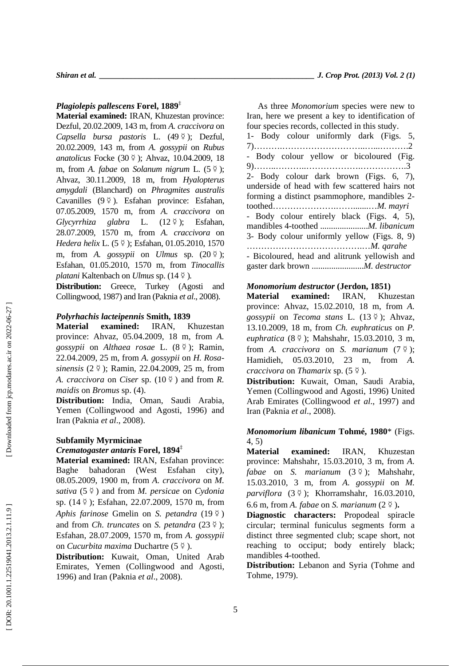#### *Plagiolepis pallescens* **Forel, 1889**‡

**Material examined:** IRAN, Khuzestan province: Dezful, 20.02.2009, 143 m, from *A. craccivora* on *Capsella bursa pastoris* L. (49 ☿); Dezful, 20.02.2009, 143 m, from *A. gossypii* on *Rubus anatolicus* Focke (30 ☿); Ahvaz, 10.04.2009, 18 m, from *A. fabae* on *Solanum nigrum* L. (5 ☿); Ahvaz, 30.11.2009, 18 m, from *Hyalopterus amygdali* (Blanchard) on *Phragmites australis* Cavanilles (9 ☿). Esfahan province: Esfahan, 07.05.2009, 1570 m, from *A. craccivora* on *Glycyrrhiza glabra* L. (12  $(12 \xi)$ ; Esfahan, 28.07.2009, 1570 m, from *A. craccivora* on *Hedera helix* L. (5 ☿); Esfahan, 01.05.2010, 1570 m, from A. gossypii on *Ulmus* sp.  $(20 \; 9)$ ; Esfahan, 01.05.2010, 1570 m, from *Tinocallis*  platani Kaltenbach on *Ulmus* sp. (14 $\frac{\varphi}{\varphi}$ ).

**Distribution:** Greece, Turkey (Agosti and Collingwood, 1987) and Iran (Paknia *et al*., 2008).

#### *Polyrhachis lacteipennis* **Smith, 1839**

**Material examined:** IRAN, Khuzestan province: Ahvaz, 05.04.2009, 18 m, from *A. gossypii* on *Althaea rosae* L. (8 ☿); Ramin, 22.04.2009, 25 m, from *A. gossypii* on *H. Rosasinensis* (2☿); Ramin, 22.04.2009, 25 m, from *A. craccivora* on *Ciser* sp. (10 ☿) and from *R. maidis* on *Bromus* sp. (4).

**Distribution:** India, Oman, Saudi Arabia, Yemen (Collingwood and Agosti, 1996) and Iran (Paknia *et al*., 2008).

## **Subfamily Myrmicinae**  *Crematogaster antaris* **Forel, 1894**‡

**Material examined:** IRAN, Esfahan province: Baghe bahadoran (West Esfahan city), 08.05.2009, 1900 m, from *A. craccivora* on *M. sativa* (5 ☿) and from *M. persicae* on *Cydonia*  sp. (14 ☿); Esfahan, 22.07.2009, 1570 m, from *Aphis farinose* Gmelin on *S. petandra* (19 ☿) and from *Ch. truncates* on *S. petandra* (23  $\frac{\alpha}{2}$ ); Esfahan, 28.07.2009, 1570 m, from *A. gossypii* on *Cucurbita maxima* Duchartre (5  $\frac{6}{7}$ ).

**Distribution:** Kuwait, Oman, United Arab Emirates, Yemen (Collingwood and Agosti, 1996) and Iran (Paknia *et al*., 2008).

As three *Monomorium* species were new to Iran, here we present a key to identification of four species records, collected in this study. 1- Body colour uniformly dark (Figs. 5, 7)……….………………………..…...……….2 - Body colour yellow or bicoloured (Fig. 9)……..………..……………….…………….3 2- Body colour dark brown (Figs. 6, 7), underside of head with few scattered hairs not forming a distinct psammophore, mandibles 2 toothed………………….…….......…*M. mayri* - Body colour entirely black (Figs. 4, 5), mandibles 4-toothed ......................*M. libanicum* 3- Body colour uniformly yellow (Figs. 8, 9) ………………………………….…*M. qarahe* - Bicoloured, head and alitrunk yellowish and gaster dark brown ........................*M. destructor*

#### *Monomorium destructor* **(Jerdon, 1851)**

**Material examined:** IRAN, Khuzestan province: Ahvaz, 15.02.2010, 18 m, from *A. gossypii* on *Tecoma stans* L. (13 ☿); Ahvaz, 13.10.2009, 18 m, from *Ch. euphraticus* on *P. euphratica* (8 ☿); Mahshahr, 15.03.2010, 3 m, from A. *craccivora* on *S. marianum*  $(7 \nless p)$ ; Hamidieh, 05.03.2010, 23 m, from *A. craccivora* on *Thamarix* sp. (5 ☿).

**Distribution:** Kuwait, Oman, Saudi Arabia, Yemen (Collingwood and Agosti, 1996) United Arab Emirates (Collingwood *et al*., 1997) and Iran (Paknia *et al*., 2008).

## *Monomorium libanicum* **Tohmé, 1980**\* (Figs. 4, 5)

**Material examined:** IRAN, Khuzestan province: Mahshahr, 15.03.2010, 3 m, from *A. fabae* on *S. marianum* (3 ☿); Mahshahr, 15.03.2010, 3 m, from *A. gossypii* on *M. parviflora* (3 ☿); Khorramshahr, 16.03.2010, 6.6 m, from *A. fabae* on *S. marianum*  $(2 \n\leq).$ 

**Diagnostic characters:** Propodeal spiracle circular; terminal funiculus segments form a distinct three segmented club; scape short, not reaching to occiput; body entirely black; mandibles 4-toothed.

**Distribution:** Lebanon and Syria (Tohme and Tohme, 1979).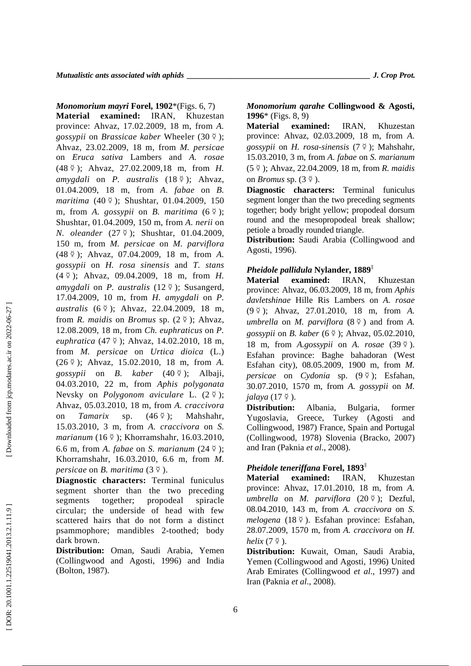*Monomorium mayri* **Forel, 1902**\*(Figs. 6, 7) **Material examined:** IRAN, Khuzestan province: Ahvaz, 17.02.2009, 18 m, from *A. gossypii* on *Brassicae kaber* Wheeler (30 ☿); Ahvaz, 23.02.2009, 18 m, from *M. persicae* on *Eruca sativa* Lambers and *A. rosae* (48 ☿); Ahvaz, 27.02.2009,18 m, from *H. amygdali* on *P. australis* (18 ☿); Ahvaz, 01.04.2009, 18 m, from *A. fabae* on *B. maritima* (40 ☿); Shushtar*,* 01.04.2009, 150 m, from A. gossypii on *B. maritima*  $(6 \n\varphi)$ ; Shushtar, 01.04.2009, 150 m, from *A. nerii* on *N. oleander* (27 ☿); Shushtar, 01.04.2009, 150 m, from *M. persicae* on *M. parviflora* (48 ☿); Ahvaz, 07.04.2009, 18 m, from *A. gossypii* on *H. rosa sinensis* and *T. stans* (4 ☿); Ahvaz, 09.04.2009, 18 m, from *H. amygdali* on *P. australis* (12 ☿); Susangerd, 17.04.2009, 10 m, from *H. amygdali* on *P. australis* (6 ☿); Ahvaz, 22.04.2009, 18 m, from *R. maidis* on *Bromus* sp. (2 ☿); Ahvaz, 12.08.2009, 18 m, from *Ch. euphraticus* on *P. euphratica* (47 ☿); Ahvaz, 14.02.2010, 18 m, from *M. persicae* on *Urtica dioica* (L.) (26 ☿); Ahvaz, 15.02.2010, 18 m, from *A. gossypii* on *B. kaber* (40 ☿); Albaji, 04.03.2010, 22 m, from *Aphis polygonata*  Nevsky on *Polygonom aviculare* L. (2 $\varphi$ ); Ahvaz *,* 05.03.2010, 18 m, from *A. craccivora* on *Tamarix* sp.  $(46 \varnothing);$ ☿); Mahshahr *,* 15.03.2010, 3 m, from *A. craccivora* on *S. marianum* (16 ☿); Khorramshahr, 16.03.2010, 6.6 m, from *A. fabae* on *S. marianum* (24 ☿); Khorramshahr, 16.03.2010, 6.6 m, from *M. persicae* on *B. maritima* (3 ☿).

**Diagnostic characters:** Terminal funiculus segment shorter than the two preceding segments together; propodeal spiracle circular; the underside of head with few scattered hairs that do not form a distinct psammophore; mandibles 2-toothed; body dark brown.

**Distribution:** Oman, Saudi Arabia, Yemen (Collingwood and Agosti, 1996) and India (Bolton, 1987).

## *Monomorium qarahe* **Collingwood & Agosti, 1996**\* (Figs. 8, 9)

**Material examined:** IRAN, Khuzestan province: Ahvaz, 02.03.2009, 18 m, from *A. gossypii* on *H. rosa-sinensis* (7 ☿); Mahshahr, 15.03.2010, 3 m, from *A. fabae* on *S. marianum*  (5 ☿); Ahvaz, 22.04.2009, 18 m, from *R. maidis* on *Bromus* sp.  $(3 \n\leq).$ 

**Diagnostic characters:** Terminal funiculus segment longer than the two preceding segments together; body bright yellow; propodeal dorsum round and the mesopropodeal break shallow; petiole a broadly rounded triangle.

**Distribution:** Saudi Arabia (Collingwood and Agosti, 1996).

## *Pheidole pallidula* **Nylander, 1889** ‡

**Material examined:** IRAN, Khuzestan province: Ahvaz, 06.03.2009, 18 m, from *Aphis davletshinae* Hille Ris Lambers on *A. rosae*  (9 ☿); Ahvaz, 27.01.2010, 18 m, from *A. umbrella* on *M. parviflora*  $(8 \n\leq)$  and from *A. gossypii* on *B. kaber* (6 ☿); Ahvaz, 05.02.2010, 18 m, from *A.gossypii* on *A. rosae* (39 ☿). Esfahan province: Baghe bahadoran (West Esfahan city), 08.05.2009, 1900 m, from *M. persicae* on *Cydonia* sp. (9 ☿); Esfahan, 30.07.2010, 1570 m, from *A. gossypii* on *M. jalaya* (17  $\frac{8}{7}$ ).

**Distribution:** Albania, Bulgaria, former Yugoslavia, Greece, Turkey (Agosti and Collingwood, 1987) France, Spain and Portugal (Collingwood, 1978) Slovenia (Bracko, 2007) and Iran (Paknia *et al*., 2008).

## *Pheidole teneriffana* **Forel, 1893** ‡

**Material examined:** IRAN, Khuzestan province: Ahvaz, 17.01.2010, 18 m, from *A. umbrella* on *M. parviflora* (20  $\frac{1}{7}$ ); Dezful, 08.04.2010, 143 m, from *A. craccivora* on *S. melogena* (18 ☿). Esfahan province: Esfahan, 28.07.2009, 1570 m, from *A. craccivora* on *H. helix*  $(7 \n\leq).$ 

**Distribution:** Kuwait, Oman, Saudi Arabia, Yemen (Collingwood and Agosti, 1996) United Arab Emirates (Collingwood *et al*., 1997) and Iran (Paknia *et al*., 2008).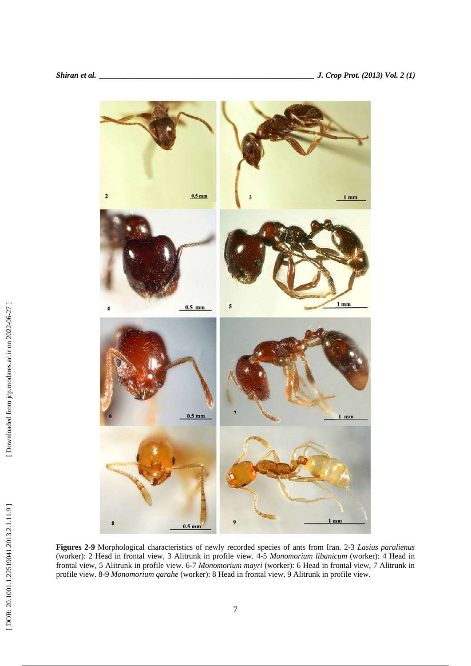

**Figures 2-9** Morphological characteristics of newly recorded species of ants from Iran. 2-3 *Lasius paralienus*  (worker): 2 Head in frontal view, 3 Alitrunk in profile view. 4-5 *Monomorium libanicum* (worker): 4 Head in frontal view, 5 Alitrunk in profile view. 6-7 *Monomorium mayri* (worker): 6 Head in frontal view, 7 Alitrunk in profile view. 8-9 *Monomorium qarahe* (worker): 8 Head in frontal view, 9 Alitrunk in profile view.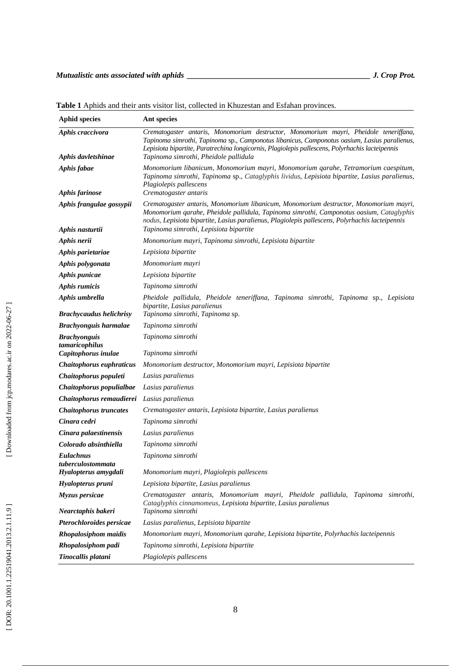| <b>Aphid species</b>                        | Ant species                                                                                                                                                                                                                                                                                                                       |
|---------------------------------------------|-----------------------------------------------------------------------------------------------------------------------------------------------------------------------------------------------------------------------------------------------------------------------------------------------------------------------------------|
| Aphis craccivora<br>Aphis davletshinae      | Crematogaster antaris, Monomorium destructor, Monomorium mayri, Pheidole teneriffana,<br>Tapinoma simrothi, Tapinoma sp., Camponotus libanicus, Camponotus oasium, Lasius paralienus,<br>Lepisiota bipartite, Paratrechina longicornis, Plagiolepis pallescens, Polyrhachis lacteipennis<br>Tapinoma simrothi, Pheidole pallidula |
| <b>Aphis fabae</b>                          | Monomorium libanicum, Monomorium mayri, Monomorium qarahe, Tetramorium caespitum,<br>Tapinoma simrothi, Tapinoma sp., Cataglyphis lividus, Lepisiota bipartite, Lasius paralienus,<br>Plagiolepis pallescens                                                                                                                      |
| Aphis farinose                              | Crematogaster antaris                                                                                                                                                                                                                                                                                                             |
| Aphis frangulae gossypii<br>Aphis nasturtii | Crematogaster antaris, Monomorium libanicum, Monomorium destructor, Monomorium mayri,<br>Monomorium qarahe, Pheidole pallidula, Tapinoma simrothi, Camponotus oasium, Cataglyphis<br>nodus, Lepisiota bipartite, Lasius paralienus, Plagiolepis pallescens, Polyrhachis lacteipennis<br>Tapinoma simrothi, Lepisiota bipartite    |
| Aphis nerii                                 | Monomorium mayri, Tapinoma simrothi, Lepisiota bipartite                                                                                                                                                                                                                                                                          |
| Aphis parietariae                           | Lepisiota bipartite                                                                                                                                                                                                                                                                                                               |
| Aphis polygonata                            | Monomorium mayri                                                                                                                                                                                                                                                                                                                  |
| Aphis punicae                               | Lepisiota bipartite                                                                                                                                                                                                                                                                                                               |
| <b>Aphis rumicis</b>                        | Tapinoma simrothi                                                                                                                                                                                                                                                                                                                 |
| Aphis umbrella                              | Pheidole pallidula, Pheidole teneriffana, Tapinoma simrothi, Tapinoma sp., Lepisiota<br>bipartite, Lasius paralienus                                                                                                                                                                                                              |
| <b>Brachycaudus helichrisy</b>              | Tapinoma simrothi, Tapinoma sp.                                                                                                                                                                                                                                                                                                   |
| <b>Brachyonguis harmalae</b>                | Tapinoma simrothi                                                                                                                                                                                                                                                                                                                 |
| <b>Brachyonguis</b><br>tamaricophilus       | Tapinoma simrothi                                                                                                                                                                                                                                                                                                                 |
| Capitophorus inulae                         | Tapinoma simrothi                                                                                                                                                                                                                                                                                                                 |
| Chaitophorus euphraticus                    | Monomorium destructor, Monomorium mayri, Lepisiota bipartite                                                                                                                                                                                                                                                                      |
| Chaitophorus populeti                       | Lasius paralienus                                                                                                                                                                                                                                                                                                                 |
| Chaitophorus populialbae                    | Lasius paralienus                                                                                                                                                                                                                                                                                                                 |
| Chaitophorus remaudierei                    | Lasius paralienus                                                                                                                                                                                                                                                                                                                 |
| <b>Chaitophorus truncates</b>               | Crematogaster antaris, Lepisiota bipartite, Lasius paralienus                                                                                                                                                                                                                                                                     |
| Cinara cedri                                | Tapinoma simrothi                                                                                                                                                                                                                                                                                                                 |
| Cinara palaestinensis                       | Lasius paralienus                                                                                                                                                                                                                                                                                                                 |
| Colorado absinthiella                       | Tapinoma simrothi                                                                                                                                                                                                                                                                                                                 |
| <b>Eulachnus</b>                            | Tapinoma simrothi                                                                                                                                                                                                                                                                                                                 |
| tuberculostommata<br>Hyalopterus amygdali   | Monomorium mayri, Plagiolepis pallescens                                                                                                                                                                                                                                                                                          |
| Hyalopterus pruni                           | Lepisiota bipartite, Lasius paralienus                                                                                                                                                                                                                                                                                            |
| Myzus persicae                              | Crematogaster antaris, Monomorium mayri, Pheidole pallidula,<br>Tapinoma simrothi,<br>Cataglyphis cinnamomeus, Lepisiota bipartite, Lasius paralienus                                                                                                                                                                             |
| Nearctaphis bakeri                          | Tapinoma simrothi                                                                                                                                                                                                                                                                                                                 |
| Pterochloroides persicae                    | Lasius paralienus, Lepisiota bipartite                                                                                                                                                                                                                                                                                            |
| <b>Rhopalosiphom maidis</b>                 | Monomorium mayri, Monomorium qarahe, Lepisiota bipartite, Polyrhachis lacteipennis                                                                                                                                                                                                                                                |
| Rhopalosiphom padi                          | Tapinoma simrothi, Lepisiota bipartite                                                                                                                                                                                                                                                                                            |
| Tinocallis platani                          | Plagiolepis pallescens                                                                                                                                                                                                                                                                                                            |

**Table 1** Aphids and their ants visitor list, collected in Khuzestan and Esfahan provinces.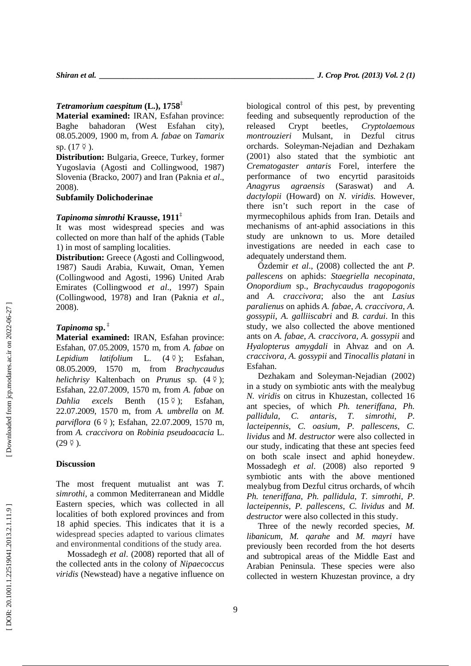### *Tetramorium caespitum* **(L.), 1758**‡

**Material examined:** IRAN, Esfahan province: Baghe bahadoran (West Esfahan city), 08.05.2009, 1900 m, from *A. fabae* on *Tamarix*  sp.  $(17 \; 9)$ .

**Distribution:** Bulgaria, Greece, Turkey, former Yugoslavia (Agosti and Collingwood, 1987) Slovenia (Bracko, 2007) and Iran (Paknia *et al*., 2008).

**Subfamily Dolichoderinae**

## *Tapinoma simrothi* **Krausse, 1911** ‡

It was most widespread species and was collected on more than half of the aphids (Table 1) in most of sampling localities.

**Distribution:** Greece (Agosti and Collingwood, 1987) Saudi Arabia, Kuwait, Oman, Yemen (Collingwood and Agosti, 1996) United Arab Emirates (Collingwood *et al*., 1997) Spain (Collingwood, 1978) and Iran (Paknia *et al*., 2008).

## *Tapinoma* **sp.** ‡

**Material examined:** IRAN, Esfahan province: Esfahan, 07.05.2009, 1570 m, from *A. fabae* on *Lepidium latifolium* L. (4  $(4 \circledcirc);$  Esfahan, 08.05.2009, 1570 m, from *Brachycaudus helichrisy* Kaltenbach on *Prunus* sp. (4 ☿); Esfahan, 22.07.2009, 1570 m, from *A. fabae* on *Dahlia excels* Benth (15 $\frac{\varphi}{\varphi}$ ); Esfahan, 22.07.2009, 1570 m, from *A. umbrella* on *M. parviflora* (6 ☿); Esfahan, 22.07.2009, 1570 m, from *A. craccivora* on *Robinia pseudoacacia* L.  $(29 \; 9)$ .

### **Discussion**

The most frequent mutualist ant was *T. simrothi*, a common Mediterranean and Middle Eastern species, which was collected in all localities of both explored provinces and from 18 aphid species. This indicates that it is a widespread species adapted to various climates and environmental conditions of the study area.

Mossadegh *et al*. (2008) reported that all of the collected ants in the colony of *Nipaecoccus viridis* (Newstead) have a negative influence on biological control of this pest*,* by preventing feeding and subsequently reproduction of the released Crypt beetles, *Cryptolaemous montrouzieri* Mulsant, in Dezful citrus orchards. Soleyman-Nejadian and Dezhakam (2001) also stated that the symbiotic ant *Crematogaster antaris* Forel, interfere the performance of two encyrtid parasitoids *Anagyrus agraensis* (Saraswat) and *A. dactylopii* (Howard) on *N. viridis.* However, there isn't such report in the case myrmecophilous aphids from Iran. Details and mechanisms of ant-aphid associations in this study are unknown to us. More detailed investigations are needed in each case to adequately understand them.

Özdemir *et al*., (2008) collected the ant *P. pallescens* on aphids: *Staegriella necopinata*, *Onopordium* sp., *Brachycaudus tragopogonis* and *A. craccivora*; also the ant *Lasius paralienus* on aphids *A. fabae*, *A. craccivora*, *A. gossypii*, *A. galliiscabri* and *B. cardui*. In this study, we also collected the above mentioned ants on *A. fabae*, *A. craccivora*, *A. gossypii* and *Hyalopterus amygdali* in Ahvaz and on *A. craccivora*, *A. gossypii* and *Tinocallis platani* in Esfahan.

Dezhakam and Soleyman-Nejadian (2002) in a study on symbiotic ants with the mealybug *N. viridis* on citrus in Khuzestan, collected 16 ant species, of which *Ph. teneriffana*, *Ph. pallidula*, *C. antaris*, *T. simrothi*, *P. lacteipennis*, *C. oasium*, *P. pallescens*, *C. lividus* and *M. destructor* were also collected in our study, indicating that these ant species feed on both scale insect and aphid honeydew. Mossadegh *et al*. (2008) also reported 9 symbiotic ants with the above mentioned mealybug from Dezful citrus orchards, of whcih *Ph. teneriffana*, *Ph. pallidula*, *T. simrothi*, *P. lacteipennis*, *P. pallescens*, *C. lividus* and *M. destructor* were also collected in this study.

Three of the newly recorded species, *M. libanicum* , *M. qarahe* and *M. mayri* have previously been recorded from the hot deserts and subtropical areas of the Middle East and Arabian Peninsula. These species were also collected in western Khuzestan province, a dry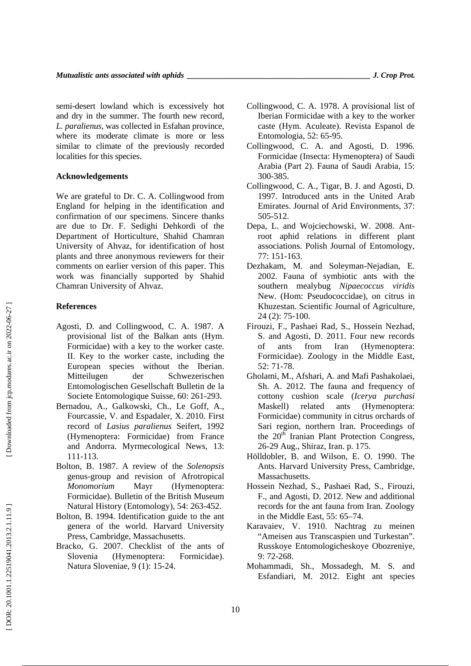semi-desert lowland which is excessively hot and dry in the summer. The fourth new record, *L. paralienus*, was collected in Esfahan province, where its moderate climate is more or less similar to climate of the previously recorded localities for this species.

#### **Acknowledgements**

We are grateful to Dr. C. A. Collingwood from England for helping in the identification and confirmation of our specimens. Sincere thanks are due to Dr. F. Sedighi Dehkordi of the Department of Horticulture, Shahid Chamran University of Ahvaz, for identification of host plants and three anonymous reviewers for their comments on earlier version of this paper. This work was financially supported by Shahid Chamran University of Ahvaz.

### **References**

- Agosti, D. and Collingwood, C. A. 1987. A provisional list of the Balkan ants (Hym. Formicidae) with a key to the worker caste. II. Key to the worker caste, including the European species without the Iberian. Mitteilugen der Schwezerischen Entomologischen Gesellschaft Bulletin de la Societe Entomologique Suisse, 60: 261-293.
- Bernadou, A., Galkowski, Ch., Le Goff, A., Fourcassie, V. and Espadaler, X. 2010. First record of *Lasius paralienus* Seifert, 1992 (Hymenoptera: Formicidae) from France and Andorra. Myrmecological News, 13: 111-113.
- Bolton, B. 1987. A review of the *Solenopsis* genus-group and revision of Afrotropical *Monomorium* Mayr (Hymenoptera: Formicidae). Bulletin of the British Museum Natural History (Entomology), 54: 263-452.
- Bolton, B. 1994. Identification guide to the ant genera of the world. Harvard University Press, Cambridge, Massachusetts.
- Bracko, G. 2007. Checklist of the ants of Slovenia (Hymenoptera: Formicidae). Natura Sloveniae, 9 (1): 15-24.
- Collingwood, C. A. 1978. A provisional list of Iberian Formicidae with a key to the worker caste (Hym. Aculeate). Revista Espanol de Entomologia, 52: 65-95.
- Collingwood, C. A. and Agosti, D. 1996. Formicidae (Insecta: Hymenoptera) of Saudi Arabia (Part 2). Fauna of Saudi Arabia, 15: 300-385.
- Collingwood, C. A., Tigar, B. J. and Agosti, D. 1997. Introduced ants in the United Arab Emirates. Journal of Arid Environments, 37: 505-512.
- Depa, L. and Wojciechowski, W. 2008. Antroot aphid relations in different plant associations. Polish Journal of Entomology, 77: 151-163.
- Dezhakam, M. and Soleyman-Nejadian, E. 2002. Fauna of symbiotic ants with the southern mealybug *Nipaecoccus viridis* New. (Hom: Pseudococcidae), on citrus in Khuzestan. Scientific Journal of Agriculture, 24 (2): 75-100.
- Firouzi, F., Pashaei Rad, S., Hossein Nezhad, S. and Agosti, D. 2011. Four new records of ants from Iran (Hymenoptera: Formicidae). Zoology in the Middle East, 52: 71-78.
- Gholami, M., Afshari, A. and Mafi Pashakolaei, Sh. A. 2012. The fauna and frequency of cottony cushion scale (*Icerya purchasi*  Maskell) related ants (Hymenoptera: Formicidae) community in citrus orchards of Sari region, northern Iran. Proceedings of the  $20<sup>th</sup>$  Iranian Plant Protection Congress, 26-29 Aug., Shiraz, Iran. p. 175.
- Hölldobler, B. and Wilson, E. O. 1990. The Ants. Harvard University Press, Cambridge, Massachusetts.
- Hossein Nezhad, S., Pashaei Rad, S., Firouzi, F., and Agosti, D. 2012. New and additional records for the ant fauna from Iran. Zoology in the Middle East, 55: 65–74.
- Karavaiev, V. 1910. Nachtrag zu meinen "Ameisen aus Transcaspien und Turkestan". Russkoye Entomologicheskoye Obozreniye, 9: 72-268.
- Mohammadi, Sh., Mossadegh, M. S. and Esfandiari, M. 2012. Eight ant species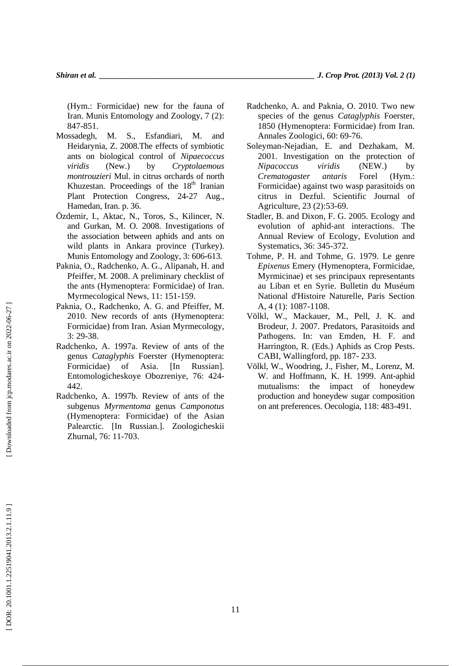(Hym.: Formicidae) new for the fauna of Iran. Munis Entomology and Zoology, 7 (2): 847-851.

- Mossadegh, M. S., Esfandiari, M. and Heidarynia, Z. 2008.The effects of symbiotic ants on biological control of *Nipaecoccus viridis* (New.) by *Cryptolaemous montrouzieri* Mul. in citrus orchards of north Khuzestan. Proceedings of the  $18<sup>th</sup>$  Iranian Plant Protection Congress, 24-27 Aug., Hamedan, Iran. p. 36.
- Özdemir, I., Aktac, N., Toros, S., Kilincer, N. and Gurkan, M. O. 2008. Investigations of the association between aphids and ants on wild plants in Ankara province (Turkey). Munis Entomology and Zoology, 3: 606-613.
- Paknia, O., Radchenko, A. G., Alipanah, H. and Pfeiffer, M. 2008. A preliminary checklist of the ants (Hymenoptera: Formicidae) of Iran. Myrmecological News, 11: 151-159.
- Paknia, O., Radchenko, A. G. and Pfeiffer, M. 2010. New records of ants (Hymenoptera: Formicidae) from Iran. Asian Myrmecology, 3: 29-38.
- Radchenko, A. 1997a. Review of ants of the genus *Cataglyphis* Foerster (Hymenoptera: Formicidae) of Asia. [In Russian]. Entomologicheskoye Obozreniye, 76: 424- 442.
- Radchenko, A. 1997b. Review of ants of the subgenus *Myrmentoma* genus *Camponotus* (Hymenoptera: Formicidae) of the Asian Palearctic. [In Russian.]. Zoologicheskii Zhurnal, 76: 11-703.
- Radchenko, A. and Paknia, O. 2010. Two new species of the genus *Cataglyphis* Foerster, 1850 (Hymenoptera: Formicidae) from Iran. Annales Zoologici, 60: 69-76.
- Soleyman-Nejadian, E. and Dezhakam, M. 2001. Investigation on the protection of *Nipacoccus viridis* (NEW.) by *Crematogaster antaris* Forel (Hym.: Formicidae) against two wasp parasitoids on citrus in Dezful. Scientific Journal of Agriculture, 23 (2):53-69.
- Stadler, B. and Dixon, F. G. 2005. Ecology and evolution of aphid-ant interactions. The Annual Review of Ecology, Evolution and Systematics, 36: 345-372.
- Tohme, P. H. and Tohme, G. 1979. Le genre *Epixenus* Emery (Hymenoptera, Formicidae, Myrmicinae) et ses principaux representants au Liban et en Syrie. Bulletin du Muséum National d'Histoire Naturelle, Paris Section A, 4 (1): 1087-1108.
- Völkl, W., Mackauer, M., Pell, J. K. and Brodeur, J. 2007. Predators, Parasitoids and Pathogens. In: van Emden, H. F. and Harrington, R. (Eds.) Aphids as Crop Pests. CABI, Wallingford, pp. 187- 233.
- Völkl, W., Woodring, J., Fisher, M., Lorenz, M. W. and Hoffmann, K. H. 1999. Ant-aphid mutualisms: the impact of honeydew production and honeydew sugar composition on ant preferences. Oecologia, 118: 483-491.